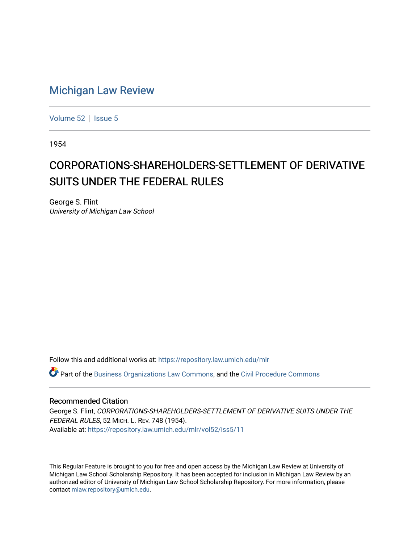## [Michigan Law Review](https://repository.law.umich.edu/mlr)

[Volume 52](https://repository.law.umich.edu/mlr/vol52) | [Issue 5](https://repository.law.umich.edu/mlr/vol52/iss5)

1954

## CORPORATIONS-SHAREHOLDERS-SETTLEMENT OF DERIVATIVE SUITS UNDER THE FEDERAL RULES

George S. Flint University of Michigan Law School

Follow this and additional works at: [https://repository.law.umich.edu/mlr](https://repository.law.umich.edu/mlr?utm_source=repository.law.umich.edu%2Fmlr%2Fvol52%2Fiss5%2F11&utm_medium=PDF&utm_campaign=PDFCoverPages) 

Part of the [Business Organizations Law Commons](http://network.bepress.com/hgg/discipline/900?utm_source=repository.law.umich.edu%2Fmlr%2Fvol52%2Fiss5%2F11&utm_medium=PDF&utm_campaign=PDFCoverPages), and the [Civil Procedure Commons](http://network.bepress.com/hgg/discipline/584?utm_source=repository.law.umich.edu%2Fmlr%2Fvol52%2Fiss5%2F11&utm_medium=PDF&utm_campaign=PDFCoverPages) 

## Recommended Citation

George S. Flint, CORPORATIONS-SHAREHOLDERS-SETTLEMENT OF DERIVATIVE SUITS UNDER THE FEDERAL RULES, 52 MICH. L. REV. 748 (1954). Available at: [https://repository.law.umich.edu/mlr/vol52/iss5/11](https://repository.law.umich.edu/mlr/vol52/iss5/11?utm_source=repository.law.umich.edu%2Fmlr%2Fvol52%2Fiss5%2F11&utm_medium=PDF&utm_campaign=PDFCoverPages) 

This Regular Feature is brought to you for free and open access by the Michigan Law Review at University of Michigan Law School Scholarship Repository. It has been accepted for inclusion in Michigan Law Review by an authorized editor of University of Michigan Law School Scholarship Repository. For more information, please contact [mlaw.repository@umich.edu](mailto:mlaw.repository@umich.edu).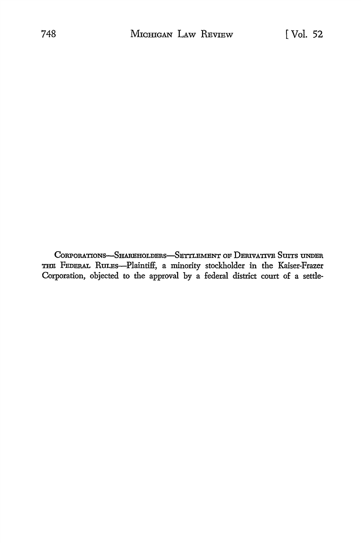CORPORATIONS-SHAREHOLDERS-SETTLEMENT OF DERIVATIVE SUITS UNDER THE FEDERAL RULEs-Plaintiff, a minority stockholder in the Kaiser-Frazer Corporation, objected to the approval by a federal district court of a settle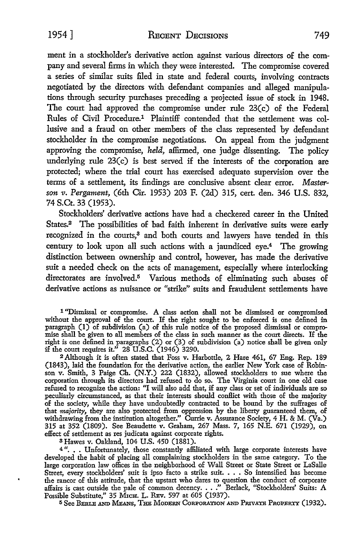1954] RECENT DECISIONS 749

ment in a stockholder's derivative action against various directors of the company and several firms in which they were interested. The compromise covered a series of similar suits filed in state and federal courts, involving contracts negotiated by the directors with defendant companies and alleged manipulations through security purchases preceding a projected issue of stock in 1948. The court had approved the compromise under rule 23(c) of the Federal Rules of Civil Procedure.1 Plaintiff contended that the settlement was collusive and a fraud on other members of the class represented by defendant stockholder in the compromise negotiations. On appeal from the judgment approving the compromise, *held,* affirmed, one judge dissenting. The policy underlying rule 23(c) is best served if the interests of the corporation are protected; where the trial court has exercised adequate supervision over the terms of a settlement, its findings are conclusive absent clear error. *Masterson* 11. *Pergament,* (6th Cir. 1953) 203 F. (2d) 315, cert. den. 346 U.S. 832, 74 S.Ct. 33 (1953).

Stockholders' derivative actions have had a checkered career in the United States.<sup>2</sup> The possibilities of bad faith inherent in derivative suits were early recognized in the courts,<sup>3</sup> and both courts and lawyers have tended in this century to look upon all such actions with a jaundiced eye.4 The growing distinction between ownership and control, however, has made the derivative suit a needed check on the acts of management, especially where interlocking directorates are involved.<sup>5</sup> Various methods of eliminating such abuses of derivative actions as nuisance or "strike" suits and fraudulent settlements have

<sup>1</sup>''Dismissal or compromise. A class action shall not be dismissed or compromised without the approval of the court. If the right sought to be enforced is one defined in paragraph (I) of subdivision (a) of this rule notice of the proposed dismissal or compromise shall be given to all members of the class in such manner as the court directs. If the right is one defined in paragraphs (2) or (3) of subdivision (a) notice shall be given only if the court requires it." 28 U.S.C. (1946) 3290.

<sup>2</sup>Although it is often stated that Foss v. Harbottle, 2 Hare 461, 67 Eng. Rep. 189 (1843), laid the foundation for the derivative action, the earlier New York case of Robinson v. Smith, 3 Paige Ch. (N.Y.) 222 (1832), allowed stockholders to sue where the corporation through its directors had refused to do so. The Virginia court in one old case refused to recognize the action: "I will also add that, if any class or set of individuals are so peculiarly circumstanced, as that their interests should conflict with those of the majority of the society, while they have undoubtedly contracted to be bound by the suffrages of that majority, they are also protected from oppression by the liberty guaranteed them, of withdrawing from the institution altogether." Currie v. Assurance Society, 4 H. & M. (Va.) 315 at 352 (1809). See Beaudette v. Graham, 267 Mass. 7, 165 N.E. 671 (1929), on effect of settlement as res judicata against corporate rights.

<sup>3</sup>Hawes v. Oakland, 104 U.S. 450 (1881).

<sup>4</sup> ". . Unfortunately, those constantly affiliated with large corporate interests have developed the habit of placing all complaining stockholders in the same category. To the large corporation law offices in the neighborhood of Wall Street or State Street or LaSalle Street, every stockholders' suit is ipso facto a strike suit. • . • So intensified has become the rancor of this attitude, that the upstart who dares to question the conduct of corporate affairs is cast outside the pale of common decency •••• " Berlack, "Stockholders' Suits: A Possible Substitute," 35 MICH. L. REv. 597 at 605 (1937).

5 See BERLE AND MEANS, THE MODERN CORPORATION AND PRIVATE PROPERTY (1932).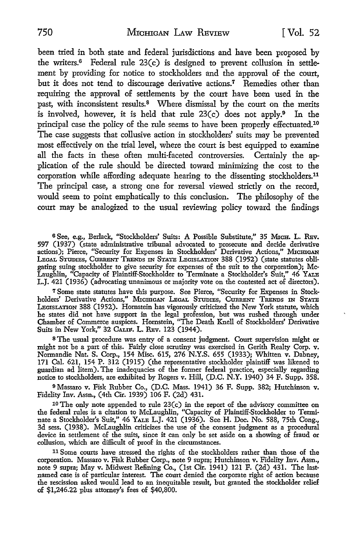been tried in both state and federal jurisdictions and have been proposed by the writers.6 Federal rule 23(c) is designed to prevent collusion in settlement by providing for notice to stockholders and the approval of the court, but it does not tend to discourage derivative actions.<sup>7</sup> Remedies other than requiring the approval of settlements by the court have been used in the past, with inconsistent results.<sup>8</sup> Where dismissal by the court on the merits is involved, however, it is held that rule  $23(c)$  does not apply.<sup>9</sup> In the principal case the policy of the rule seems to have been properly effectuated.10 The case suggests that collusive action in stockholders' suits may be prevented most effectively on the trial level, where the court is best equipped to examine all the facts in these often multi-faceted controversies. Certainly the application of the rule should be directed toward minimizing the cost to the corporation while affording adequate hearing to the dissenting stockholders.<sup>11</sup> The principal case, a strong one for reversal viewed strictly on the record, would seem to point emphatically to this conclusion. The philosophy of the court may be analogized to the usual reviewing policy toward the findings

6 See, e.g., Berlack, "Stockholders' Suits: A Possible Substitute," 35 MICH. L. REv. 597 (1937) (state administrative tribunal advocated to prosecute and decide derivative actions); Pierce, "Security for Expenses in Stockholders' Derivative Actions," MICHIGAN LEGAL STUDIES, CURRENT TRENDS IN STATE LEGISLATION 388 (1952) (state statutes obligating suing stockholder to give security for expenses of the suit to the corporation); Mc-Laughlin, "Capacity of Plaintiff-Stockholder to Terminate a Stockholder's Suit," 46 YALB L.J. 421 (1936) (advocating unanimous or majority vote on the contested act of directors).

7 Some state statutes have this purpose. See Pierce, "Security for Expenses in Stockholders' Derivative Actions," MICHIGAN LEGAL STUDIES, CURRENT TRENDS IN STATE LEGISLATION 388 (1952). Hornstein has vigorously criticized the New York statute, which he states did not have support in the legal profession, but was rushed through under Chamber of Commerce auspices. Hornstein, "The Death Knell of Stockholders' Derivative Suits in New York,'' 32 CALIP. L. REv. 123 (1944).

<sup>8</sup>The usual procedure was entry of a consent judgment. Court supervision might or might not be a part of this. Fairly close scrutiny was exercised in Gerith Realty Corp. v. Normandie Nat. S. Corp., 154 Misc. 615, 276 N.Y.S. 655 (1933); Whitten v. Dabney, 171 Cal. 621, 154 P. 312 (1915) (the representative stockholder plaintiff was likened to guardian ad litem). The inadequacies of the former federal practice, especially regarding notice to stockholders, are exhibited by Rogers v. Hill, (D.C. N.Y. 1940) 34 F. Supp. 358.

9 Massaro v. Fisk Rubber Co., (D.C. Mass. 1941) 36 F. Supp. 382; Hutchinson v. Fidelity Inv. Assn., (4th Cir. 1939) 106 F. (2d) 431.

10 The only note appended to rule 23(c) in the report of the advisory committee on the federal rules is a citation to McLaughlin, "Capacity of Plaintiff-Stockholder to Terminate a Stockholder's Suit," 46 YALB L.J. 421 (1936). See H. Doc. No. 588, 75th Cong., 3d sess. (1938). McLaughlin criticizes the use of the consent judgment as a procedural device in settlement of the suits, since it can only be set aside on a showing of fraud or collusion, which are difficult of proof in the circumstances.

11 Some courts have stressed the rights of the stockholders rather than those of the corporation. Massaro v. Fisk Rubber Corp., note 9 supra; Hutchinson v. Fidelity Inv. Assn., note 9 supra; May v. Midwest Refining Co., (1st Cir. 1941) 121 F. (2d) 431. The lastnamed case is of particular interest. The court denied the corporate right of action because the rescission asked would lead to an inequitable result, but granted the stockholder relief of \$1,246.22 plus attorney's fees of \$40,800.